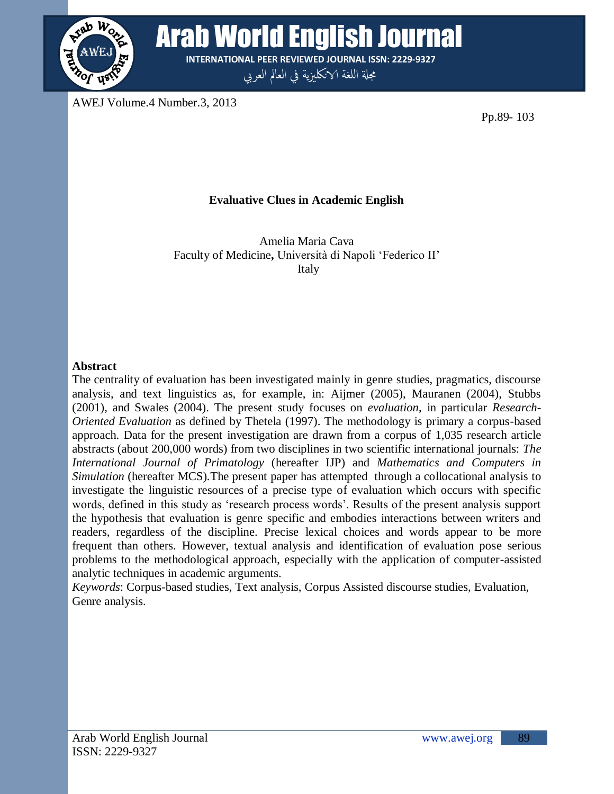

**WORE Arab World English Journal INTERNATIONAL PEER REVIEWED JOURNAL ISSN: 2229-9327**

مجلة اللغة الانكليزية في العالم العربي

AWEJ Volume.4 Number.3, 2013

Pp.89- 103

# **Evaluative Clues in Academic English**

Amelia Maria Cava Faculty of Medicine**,** Università di Napoli "Federico II" Italy

## **Abstract**

The centrality of evaluation has been investigated mainly in genre studies, pragmatics, discourse analysis, and text linguistics as, for example, in: Aijmer (2005), Mauranen (2004), Stubbs (2001), and Swales (2004). The present study focuses on *evaluation*, in particular *Research-Oriented Evaluation* as defined by Thetela (1997). The methodology is primary a corpus-based approach. Data for the present investigation are drawn from a corpus of 1,035 research article abstracts (about 200,000 words) from two disciplines in two scientific international journals: *The International Journal of Primatology* (hereafter IJP) and *Mathematics and Computers in Simulation* (hereafter MCS)*.*The present paper has attempted through a collocational analysis to investigate the linguistic resources of a precise type of evaluation which occurs with specific words, defined in this study as "research process words". Results of the present analysis support the hypothesis that evaluation is genre specific and embodies interactions between writers and readers, regardless of the discipline. Precise lexical choices and words appear to be more frequent than others. However, textual analysis and identification of evaluation pose serious problems to the methodological approach, especially with the application of computer-assisted analytic techniques in academic arguments.

*Keywords*: Corpus-based studies, Text analysis, Corpus Assisted discourse studies, Evaluation, Genre analysis.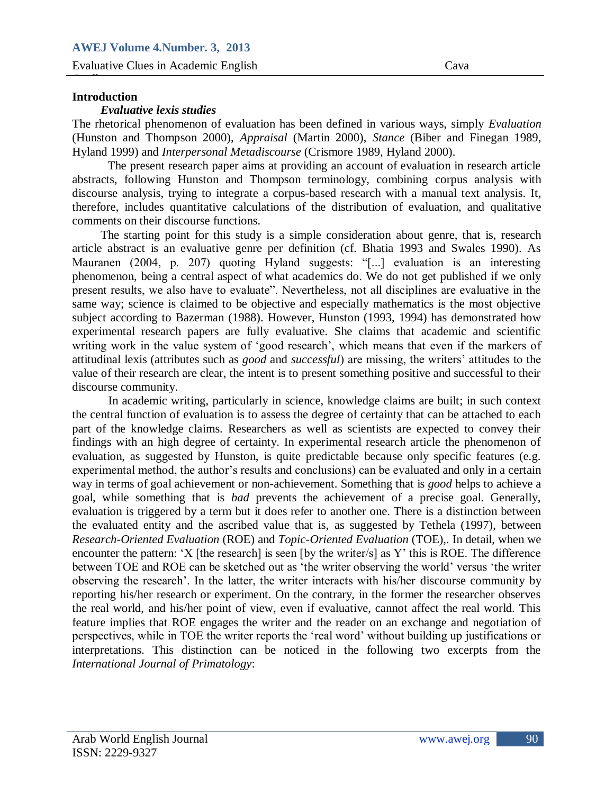#### **Introduction**

Guella

#### *Evaluative lexis studies*

Henry (Hunston and Thompson 2000), *Appraisal* (Martin 2000), *Stance* (Biber and Finegan 1989, Hyland 1999) and *Interpersonal Metadiscourse* (Crismore 1989, Hyland 2000). The rhetorical phenomenon of evaluation has been defined in various ways, simply *Evaluation*

The present research paper aims at providing an account of evaluation in research article abstracts, following Hunston and Thompson terminology, combining corpus analysis with discourse analysis, trying to integrate a corpus-based research with a manual text analysis. It, therefore, includes quantitative calculations of the distribution of evaluation, and qualitative comments on their discourse functions.

The starting point for this study is a simple consideration about genre, that is, research article abstract is an evaluative genre per definition (cf. Bhatia 1993 and Swales 1990). As Mauranen (2004, p. 207) quoting Hyland suggests: "[...] evaluation is an interesting phenomenon, being a central aspect of what academics do. We do not get published if we only present results, we also have to evaluate". Nevertheless, not all disciplines are evaluative in the same way; science is claimed to be objective and especially mathematics is the most objective subject according to Bazerman (1988). However, Hunston (1993, 1994) has demonstrated how experimental research papers are fully evaluative. She claims that academic and scientific writing work in the value system of "good research", which means that even if the markers of attitudinal lexis (attributes such as *good* and *successful*) are missing, the writers" attitudes to the value of their research are clear, the intent is to present something positive and successful to their discourse community.

In academic writing, particularly in science, knowledge claims are built; in such context the central function of evaluation is to assess the degree of certainty that can be attached to each part of the knowledge claims. Researchers as well as scientists are expected to convey their findings with an high degree of certainty. In experimental research article the phenomenon of evaluation, as suggested by Hunston, is quite predictable because only specific features (e.g. experimental method, the author"s results and conclusions) can be evaluated and only in a certain way in terms of goal achievement or non-achievement. Something that is *good* helps to achieve a goal, while something that is *bad* prevents the achievement of a precise goal. Generally, evaluation is triggered by a term but it does refer to another one. There is a distinction between the evaluated entity and the ascribed value that is, as suggested by Tethela (1997), between *Research-Oriented Evaluation* (ROE) and *Topic-Oriented Evaluation* (TOE),. In detail, when we encounter the pattern: 'X [the research] is seen [by the writer/s] as Y' this is ROE. The difference between TOE and ROE can be sketched out as "the writer observing the world" versus "the writer observing the research". In the latter, the writer interacts with his/her discourse community by reporting his/her research or experiment. On the contrary, in the former the researcher observes the real world, and his/her point of view, even if evaluative, cannot affect the real world. This feature implies that ROE engages the writer and the reader on an exchange and negotiation of perspectives, while in TOE the writer reports the "real word" without building up justifications or interpretations. This distinction can be noticed in the following two excerpts from the *International Journal of Primatology*: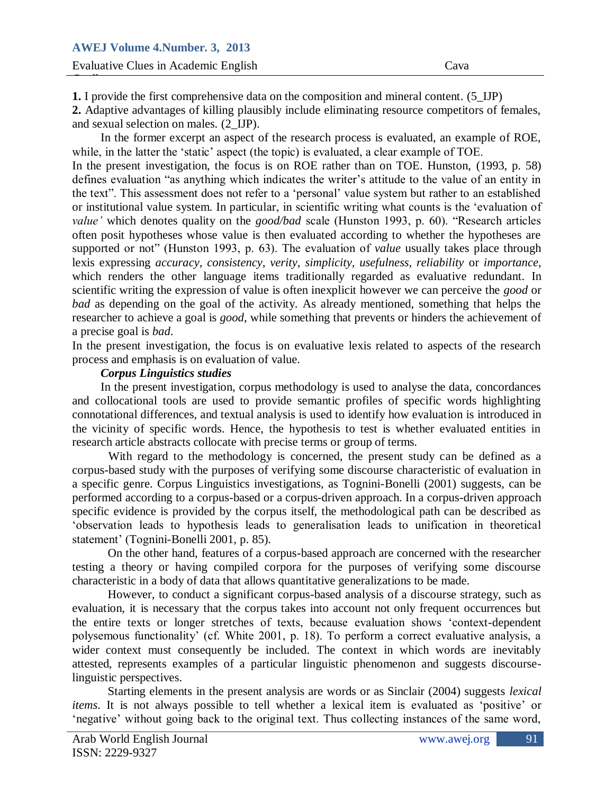**1.** I provide the first comprehensive data on the composition and mineral content. (5\_IJP)

and sexual selection on males. (2\_IJP). **2.** Adaptive advantages of killing plausibly include eliminating resource competitors of females,

while, in the fatter the In the former excerpt an aspect of the research process is evaluated, an example of ROE, while, in the latter the 'static' aspect (the topic) is evaluated, a clear example of TOE. In the present investigation, the focus is on ROE rather than on TOE. Hunston, (1993, p. 58) defines evaluation "as anything which indicates the writer"s attitude to the value of an entity in the text". This assessment does not refer to a "personal" value system but rather to an established or institutional value system. In particular, in scientific writing what counts is the "evaluation of *value'* which denotes quality on the *good/bad* scale (Hunston 1993, p. 60). "Research articles often posit hypotheses whose value is then evaluated according to whether the hypotheses are supported or not" (Hunston 1993, p. 63). The evaluation of *value* usually takes place through lexis expressing *accuracy, consistency, verity, simplicity, usefulness, reliability or importance,* which renders the other language items traditionally regarded as evaluative redundant. In scientific writing the expression of value is often inexplicit however we can perceive the *good* or *bad* as depending on the goal of the activity. As already mentioned, something that helps the researcher to achieve a goal is *good*, while something that prevents or hinders the achievement of a precise goal is *bad*.

In the present investigation, the focus is on evaluative lexis related to aspects of the research process and emphasis is on evaluation of value.

#### *Corpus Linguistics studies*

In the present investigation, corpus methodology is used to analyse the data, concordances and collocational tools are used to provide semantic profiles of specific words highlighting connotational differences, and textual analysis is used to identify how evaluation is introduced in the vicinity of specific words. Hence, the hypothesis to test is whether evaluated entities in research article abstracts collocate with precise terms or group of terms.

With regard to the methodology is concerned, the present study can be defined as a corpus-based study with the purposes of verifying some discourse characteristic of evaluation in a specific genre. Corpus Linguistics investigations, as Tognini-Bonelli (2001) suggests, can be performed according to a corpus-based or a corpus-driven approach. In a corpus-driven approach specific evidence is provided by the corpus itself, the methodological path can be described as "observation leads to hypothesis leads to generalisation leads to unification in theoretical statement' (Tognini-Bonelli 2001, p. 85).

On the other hand, features of a corpus-based approach are concerned with the researcher testing a theory or having compiled corpora for the purposes of verifying some discourse characteristic in a body of data that allows quantitative generalizations to be made.

However, to conduct a significant corpus-based analysis of a discourse strategy, such as evaluation, it is necessary that the corpus takes into account not only frequent occurrences but the entire texts or longer stretches of texts, because evaluation shows "context-dependent polysemous functionality" (cf. White 2001, p. 18). To perform a correct evaluative analysis, a wider context must consequently be included. The context in which words are inevitably attested, represents examples of a particular linguistic phenomenon and suggests discourselinguistic perspectives.

Starting elements in the present analysis are words or as Sinclair (2004) suggests *lexical items*. It is not always possible to tell whether a lexical item is evaluated as 'positive' or 'negative' without going back to the original text. Thus collecting instances of the same word,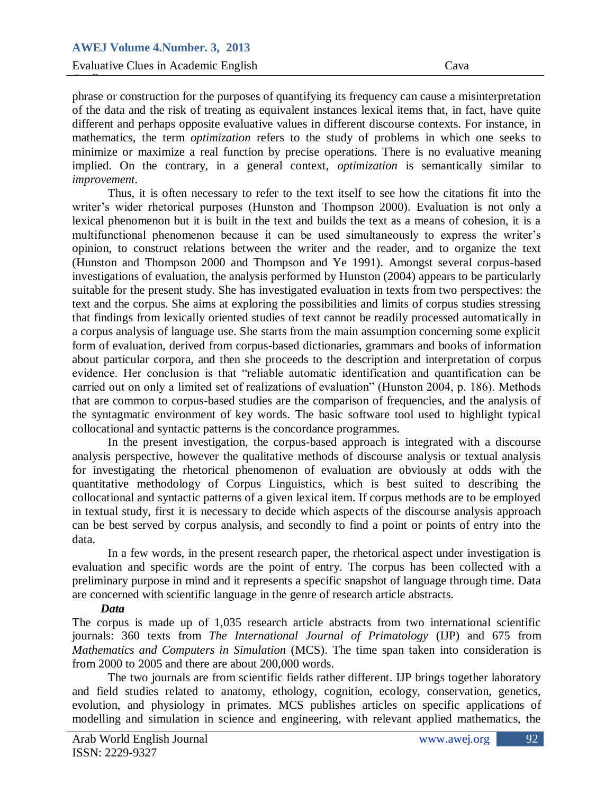enternal and perhaps opposite evaluative values in unferent discourse contexts. For instance, in [mathematics,](http://en.wikipedia.org/wiki/Mathematics) the term *optimization* refers to the study of problems in which one seeks to  $\frac{1}{2}$  and  $\frac{1}{2}$  and  $\frac{1}{2}$  and  $\frac{1}{2}$  and  $\frac{1}{2}$  and  $\frac{1}{2}$  and  $\frac{1}{2}$  and  $\frac{1}{2}$  and  $\frac{1}{2}$  and  $\frac{1}{2}$  and  $\frac{1}{2}$  and  $\frac{1}{2}$  and  $\frac{1}{2}$  and  $\frac{1}{2}$  and  $\frac{1}{2}$  and  $\frac{1}{2}$  a phrase or construction for the purposes of quantifying its frequency can cause a misinterpretation of the data and the risk of treating as equivalent instances lexical items that, in fact, have quite different and perhaps opposite evaluative values in different discourse contexts. For instance, in minimize or maximize a [real function](http://en.wikipedia.org/wiki/Function_of_a_real_variable) by precise operations. There is no evaluative meaning implied. On the contrary, in a general context, *optimization* is semantically similar to *improvement*.

Thus, it is often necessary to refer to the text itself to see how the citations fit into the writer's wider rhetorical purposes (Hunston and Thompson 2000). Evaluation is not only a lexical phenomenon but it is built in the text and builds the text as a means of cohesion, it is a multifunctional phenomenon because it can be used simultaneously to express the writer"s opinion, to construct relations between the writer and the reader, and to organize the text (Hunston and Thompson 2000 and Thompson and Ye 1991). Amongst several corpus-based investigations of evaluation, the analysis performed by Hunston (2004) appears to be particularly suitable for the present study. She has investigated evaluation in texts from two perspectives: the text and the corpus. She aims at exploring the possibilities and limits of corpus studies stressing that findings from lexically oriented studies of text cannot be readily processed automatically in a corpus analysis of language use. She starts from the main assumption concerning some explicit form of evaluation, derived from corpus-based dictionaries, grammars and books of information about particular corpora, and then she proceeds to the description and interpretation of corpus evidence. Her conclusion is that "reliable automatic identification and quantification can be carried out on only a limited set of realizations of evaluation" (Hunston 2004, p. 186). Methods that are common to corpus-based studies are the comparison of frequencies, and the analysis of the syntagmatic environment of key words. The basic software tool used to highlight typical collocational and syntactic patterns is the concordance programmes.

In the present investigation, the corpus-based approach is integrated with a discourse analysis perspective, however the qualitative methods of discourse analysis or textual analysis for investigating the rhetorical phenomenon of evaluation are obviously at odds with the quantitative methodology of Corpus Linguistics, which is best suited to describing the collocational and syntactic patterns of a given lexical item. If corpus methods are to be employed in textual study, first it is necessary to decide which aspects of the discourse analysis approach can be best served by corpus analysis, and secondly to find a point or points of entry into the data.

In a few words, in the present research paper, the rhetorical aspect under investigation is evaluation and specific words are the point of entry. The corpus has been collected with a preliminary purpose in mind and it represents a specific snapshot of language through time. Data are concerned with scientific language in the genre of research article abstracts.

## *Data*

The corpus is made up of 1,035 research article abstracts from two international scientific journals: 360 texts from *The International Journal of Primatology* (IJP) and 675 from *Mathematics and Computers in Simulation* (MCS). The time span taken into consideration is from 2000 to 2005 and there are about 200,000 words.

The two journals are from scientific fields rather different. IJP brings together laboratory and field studies related to anatomy, ethology, cognition, ecology, conservation, genetics, evolution, and physiology in primates. MCS publishes articles on specific applications of modelling and simulation in science and engineering, with relevant applied mathematics, the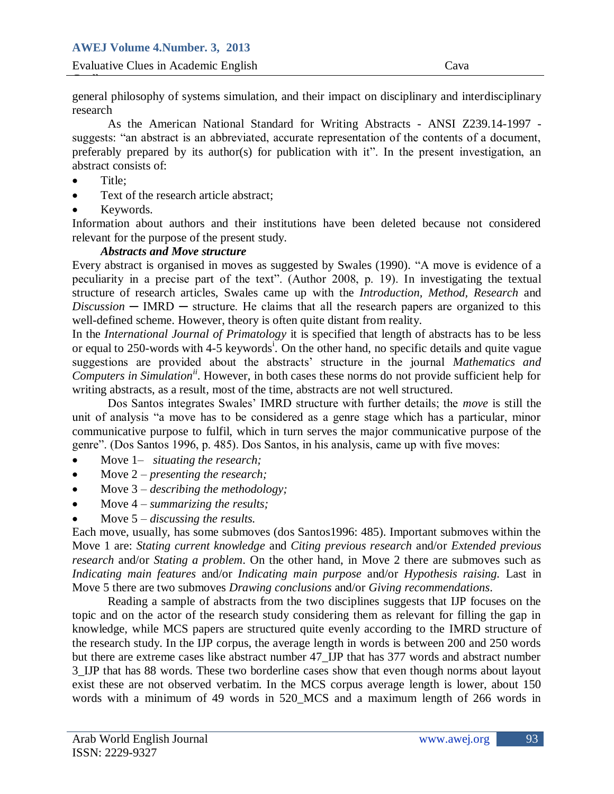general philosophy of systems simulation, and their impact on disciplinary and interdisciplinary research

As the American National Standard for Winnig Abstracts - ANSI 2255.14-1557 preferably prepared by its author(s) for publication with it". In the present investigation, an As the American National Standard for Writing Abstracts - ANSI Z239.14-1997 abstract consists of:

Title;

Guella

- Text of the research article abstract;
- Keywords.

Information about authors and their institutions have been deleted because not considered relevant for the purpose of the present study.

## *Abstracts and Move structure*

Every abstract is organised in moves as suggested by Swales (1990). "A move is evidence of a peculiarity in a precise part of the text". (Author 2008, p. 19). In investigating the textual structure of research articles, Swales came up with the *Introduction, Method, Research* and  $Discussion - IMRD - structure.$  He claims that all the research papers are organized to this well-defined scheme. However, theory is often quite distant from reality.

In the *International Journal of Primatology* it is specified that length of abstracts has to be less or equal to 250-words with 4-5 keywords<sup>i</sup>. On the other hand, no specific details and quite vague suggestions are provided about the abstracts" structure in the journal *Mathematics and Computers in Simulationii*. However, in both cases these norms do not provide sufficient help for writing abstracts, as a result, most of the time, abstracts are not well structured.

Dos Santos integrates Swales" IMRD structure with further details; the *move* is still the unit of analysis "a move has to be considered as a genre stage which has a particular, minor communicative purpose to fulfil, which in turn serves the major communicative purpose of the genre". (Dos Santos 1996, p. 485). Dos Santos, in his analysis, came up with five moves:

- Move 1– *situating the research;*
- Move 2 *presenting the research*;
- Move 3 *– describing the methodology;*
- Move 4 *– summarizing the results;*
- Move 5 *– discussing the results.*

Each move, usually, has some submoves (dos Santos1996: 485). Important submoves within the Move 1 are: *Stating current knowledge* and *Citing previous research* and/or *Extended previous research* and/or *Stating a problem*. On the other hand, in Move 2 there are submoves such as *Indicating main features* and/or *Indicating main purpose* and/or *Hypothesis raising.* Last in Move 5 there are two submoves *Drawing conclusions* and/or *Giving recommendations*.

Reading a sample of abstracts from the two disciplines suggests that IJP focuses on the topic and on the actor of the research study considering them as relevant for filling the gap in knowledge, while MCS papers are structured quite evenly according to the IMRD structure of the research study. In the IJP corpus, the average length in words is between 200 and 250 words but there are extreme cases like abstract number 47\_IJP that has 377 words and abstract number 3\_IJP that has 88 words. These two borderline cases show that even though norms about layout exist these are not observed verbatim. In the MCS corpus average length is lower, about 150 words with a minimum of 49 words in 520\_MCS and a maximum length of 266 words in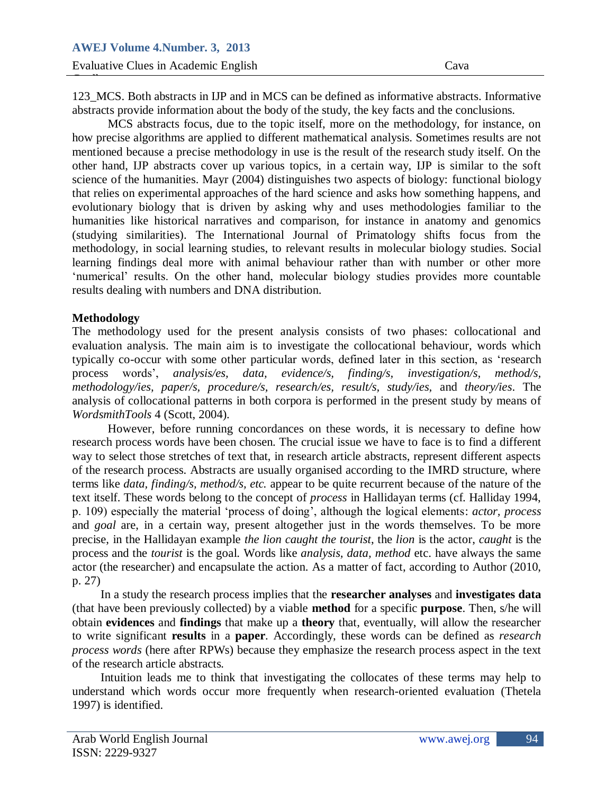123\_MCS. Both abstracts in IJP and in MCS can be defined as informative abstracts. Informative abstracts provide information about the body of the study, the key facts and the conclusions.

how precise algorithms are applied to different mathematical analysis. Sometimes results are not  $P = \frac{1}{2}$ MCS abstracts focus, due to the topic itself, more on the methodology, for instance, on mentioned because a precise methodology in use is the result of the research study itself. On the other hand, IJP abstracts cover up various topics, in a certain way, IJP is similar to the soft science of the humanities. Mayr (2004) distinguishes two aspects of biology: functional biology that relies on experimental approaches of the hard science and asks how something happens, and evolutionary biology that is driven by asking why and uses methodologies familiar to the humanities like historical narratives and comparison, for instance in anatomy and genomics (studying similarities). The International Journal of Primatology shifts focus from the methodology, in social learning studies, to relevant results in molecular biology studies. Social learning findings deal more with animal behaviour rather than with number or other more 'numerical' results. On the other hand, molecular biology studies provides more countable results dealing with numbers and DNA distribution.

#### **Methodology**

Guella

The methodology used for the present analysis consists of two phases: collocational and evaluation analysis. The main aim is to investigate the collocational behaviour, words which typically co-occur with some other particular words, defined later in this section, as "research process words", *analysis/es, data, evidence/s, finding/s, investigation/s, method/s, methodology/ies, paper/s, procedure/s, research/es, result/s, study/ies,* and *theory/ies*. The analysis of collocational patterns in both corpora is performed in the present study by means of *WordsmithTools* 4 (Scott, 2004).

However, before running concordances on these words, it is necessary to define how research process words have been chosen. The crucial issue we have to face is to find a different way to select those stretches of text that, in research article abstracts, represent different aspects of the research process. Abstracts are usually organised according to the IMRD structure, where terms like *data, finding/s, method/s, etc.* appear to be quite recurrent because of the nature of the text itself. These words belong to the concept of *process* in Hallidayan terms (cf. Halliday 1994, p. 109) especially the material "process of doing", although the logical elements: *actor, process*  and *goal* are, in a certain way, present altogether just in the words themselves. To be more precise, in the Hallidayan example *the lion caught the tourist*, the *lion* is the actor, *caught* is the process and the *tourist* is the goal. Words like *analysis, data, method* etc. have always the same actor (the researcher) and encapsulate the action. As a matter of fact, according to Author (2010, p. 27)

In a study the research process implies that the **researcher analyses** and **investigates data** (that have been previously collected) by a viable **method** for a specific **purpose**. Then, s/he will obtain **evidences** and **findings** that make up a **theory** that, eventually, will allow the researcher to write significant **results** in a **paper**. Accordingly, these words can be defined as *research process words* (here after RPWs) because they emphasize the research process aspect in the text of the research article abstracts.

Intuition leads me to think that investigating the collocates of these terms may help to understand which words occur more frequently when research-oriented evaluation (Thetela 1997) is identified.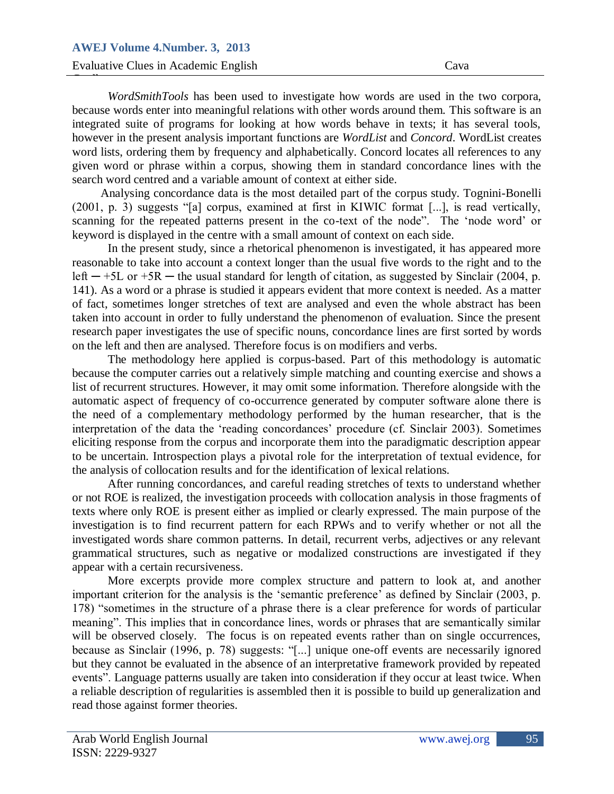Henry however in the present analysis important functions are *WordList* and *Concord*. WordList creates word insis, ordering the  $\frac{1}{2}$ *WordSmithTools* has been used to investigate how words are used in the two corpora, because words enter into meaningful relations with other words around them. This software is an integrated suite of programs for looking at how words behave in texts; it has several tools, word lists, ordering them by frequency and alphabetically. Concord locates all references to any given word or phrase within a corpus, showing them in standard concordance lines with the search word centred and a variable amount of context at either side.

Analysing concordance data is the most detailed part of the corpus study. Tognini-Bonelli (2001, p. 3) suggests "[a] corpus, examined at first in KIWIC format [...], is read vertically, scanning for the repeated patterns present in the co-text of the node". The "node word" or keyword is displayed in the centre with a small amount of context on each side.

In the present study, since a rhetorical phenomenon is investigated, it has appeared more reasonable to take into account a context longer than the usual five words to the right and to the left  $-$  +5L or +5R  $-$  the usual standard for length of citation, as suggested by Sinclair (2004, p. 141). As a word or a phrase is studied it appears evident that more context is needed. As a matter of fact, sometimes longer stretches of text are analysed and even the whole abstract has been taken into account in order to fully understand the phenomenon of evaluation. Since the present research paper investigates the use of specific nouns, concordance lines are first sorted by words on the left and then are analysed. Therefore focus is on modifiers and verbs.

The methodology here applied is corpus-based. Part of this methodology is automatic because the computer carries out a relatively simple matching and counting exercise and shows a list of recurrent structures. However, it may omit some information. Therefore alongside with the automatic aspect of frequency of co-occurrence generated by computer software alone there is the need of a complementary methodology performed by the human researcher, that is the interpretation of the data the 'reading concordances' procedure (cf. Sinclair 2003). Sometimes eliciting response from the corpus and incorporate them into the paradigmatic description appear to be uncertain. Introspection plays a pivotal role for the interpretation of textual evidence, for the analysis of collocation results and for the identification of lexical relations.

After running concordances, and careful reading stretches of texts to understand whether or not ROE is realized, the investigation proceeds with collocation analysis in those fragments of texts where only ROE is present either as implied or clearly expressed. The main purpose of the investigation is to find recurrent pattern for each RPWs and to verify whether or not all the investigated words share common patterns. In detail, recurrent verbs, adjectives or any relevant grammatical structures, such as negative or modalized constructions are investigated if they appear with a certain recursiveness.

More excerpts provide more complex structure and pattern to look at, and another important criterion for the analysis is the 'semantic preference' as defined by Sinclair (2003, p. 178) "sometimes in the structure of a phrase there is a clear preference for words of particular meaning". This implies that in concordance lines, words or phrases that are semantically similar will be observed closely. The focus is on repeated events rather than on single occurrences, because as Sinclair (1996, p. 78) suggests: "[...] unique one-off events are necessarily ignored but they cannot be evaluated in the absence of an interpretative framework provided by repeated events". Language patterns usually are taken into consideration if they occur at least twice. When a reliable description of regularities is assembled then it is possible to build up generalization and read those against former theories.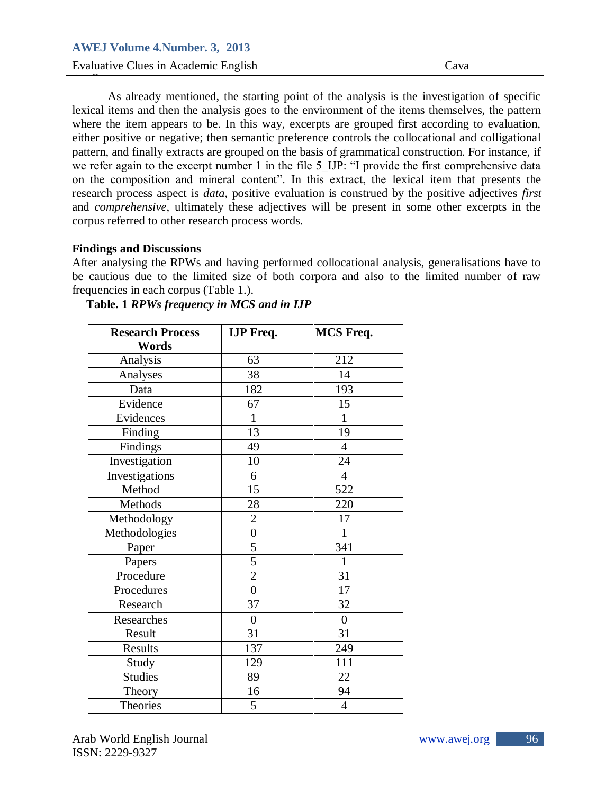Evaluative Clues in Academic English Cava Guella

where the nem appears to be. In this way, excerpts are grouped inst according to evaluation, either positive or negative; then semantic preference controls the collocational and colligational pattern, and finally extracts are grouped on the basis of grammatical construction. For instance, if As already mentioned, the starting point of the analysis is the investigation of specific lexical items and then the analysis goes to the environment of the items themselves, the pattern where the item appears to be. In this way, excerpts are grouped first according to evaluation, we refer again to the excerpt number 1 in the file 5 IJP: "I provide the first comprehensive data on the composition and mineral content". In this extract, the lexical item that presents the research process aspect is *data*, positive evaluation is construed by the positive adjectives *first*  and *comprehensive*, ultimately these adjectives will be present in some other excerpts in the corpus referred to other research process words.

#### **Findings and Discussions**

After analysing the RPWs and having performed collocational analysis, generalisations have to be cautious due to the limited size of both corpora and also to the limited number of raw frequencies in each corpus (Table 1.).

| <b>Research Process</b> | <b>IJP</b> Freq. | <b>MCS Freq.</b> |
|-------------------------|------------------|------------------|
| Words                   |                  |                  |
| Analysis                | 63               | 212              |
| Analyses                | 38               | 14               |
| Data                    | 182              | 193              |
| Evidence                | 67               | 15               |
| Evidences               | $\mathbf{1}$     | $\mathbf{1}$     |
| Finding                 | 13               | 19               |
| Findings                | 49               | $\overline{4}$   |
| Investigation           | 10               | 24               |
| Investigations          | 6                | $\overline{4}$   |
| Method                  | 15               | 522              |
| Methods                 | 28               | 220              |
| Methodology             | $\overline{2}$   | 17               |
| Methodologies           | $\overline{0}$   | $\mathbf{1}$     |
| Paper                   | 5                | 341              |
| Papers                  | $\overline{5}$   | $\mathbf{1}$     |
| Procedure               | $\overline{2}$   | 31               |
| Procedures              | $\boldsymbol{0}$ | 17               |
| Research                | 37               | 32               |
| Researches              | $\boldsymbol{0}$ | $\boldsymbol{0}$ |
| Result                  | 31               | 31               |
| Results                 | 137              | 249              |
| Study                   | 129              | 111              |
| <b>Studies</b>          | 89               | 22               |
| Theory                  | 16               | 94               |
| Theories                | 5                | $\overline{4}$   |

## **Table. 1** *RPWs frequency in MCS and in IJP*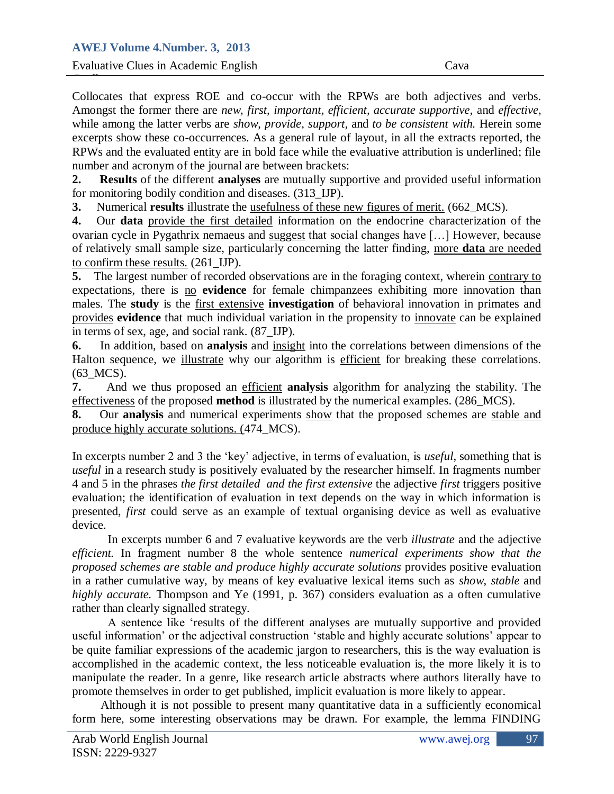while allong the fatter verbs are *show*, *provide*, *support*, and *to be consistent with*. Herein some excerpts show these co-occurrences. As a general rule of layout, in all the extracts reported, the  $\mathbb{R}^n$  and the evaluation Collocates that express ROE and co-occur with the RPWs are both adjectives and verbs. Amongst the former there are *new, first, important, efficient, accurate supportive,* and *effective,*  while among the latter verbs are *show*, *provide*, *support,* and *to be consistent with.* Herein some RPWs and the evaluated entity are in bold face while the evaluative attribution is underlined; file number and acronym of the journal are between brackets:

**2. Results** of the different **analyses** are mutually supportive and provided useful information for monitoring bodily condition and diseases. (313\_IJP).

**3.** Numerical **results** illustrate the usefulness of these new figures of merit. (662\_MCS).

**4.** Our **data** provide the first detailed information on the endocrine characterization of the ovarian cycle in Pygathrix nemaeus and suggest that social changes have […] However, because of relatively small sample size, particularly concerning the latter finding, more **data** are needed to confirm these results. (261\_IJP).

**5.** The largest number of recorded observations are in the foraging context, wherein contrary to expectations, there is no **evidence** for female chimpanzees exhibiting more innovation than males. The **study** is the first extensive **investigation** of behavioral innovation in primates and provides **evidence** that much individual variation in the propensity to innovate can be explained in terms of sex, age, and social rank. (87\_IJP).

**6.** In addition, based on **analysis** and insight into the correlations between dimensions of the Halton sequence, we illustrate why our algorithm is efficient for breaking these correlations. (63\_MCS).

**7.** And we thus proposed an efficient **analysis** algorithm for analyzing the stability. The effectiveness of the proposed **method** is illustrated by the numerical examples. (286\_MCS).

**8.** Our **analysis** and numerical experiments show that the proposed schemes are stable and produce highly accurate solutions. (474\_MCS).

In excerpts number 2 and 3 the "key" adjective, in terms of evaluation, is *useful*, something that is *useful* in a research study is positively evaluated by the researcher himself. In fragments number 4 and 5 in the phrases *the first detailed and the first extensive* the adjective *first* triggers positive evaluation; the identification of evaluation in text depends on the way in which information is presented, *first* could serve as an example of textual organising device as well as evaluative device.

In excerpts number 6 and 7 evaluative keywords are the verb *illustrate* and the adjective *efficient.* In fragment number 8 the whole sentence *numerical experiments show that the proposed schemes are stable and produce highly accurate solutions* provides positive evaluation in a rather cumulative way, by means of key evaluative lexical items such as *show*, *stable* and *highly accurate.* Thompson and Ye (1991, p. 367) considers evaluation as a often cumulative rather than clearly signalled strategy.

A sentence like "results of the different analyses are mutually supportive and provided useful information' or the adjectival construction 'stable and highly accurate solutions' appear to be quite familiar expressions of the academic jargon to researchers, this is the way evaluation is accomplished in the academic context, the less noticeable evaluation is, the more likely it is to manipulate the reader. In a genre, like research article abstracts where authors literally have to promote themselves in order to get published, implicit evaluation is more likely to appear.

Although it is not possible to present many quantitative data in a sufficiently economical form here, some interesting observations may be drawn. For example, the lemma FINDING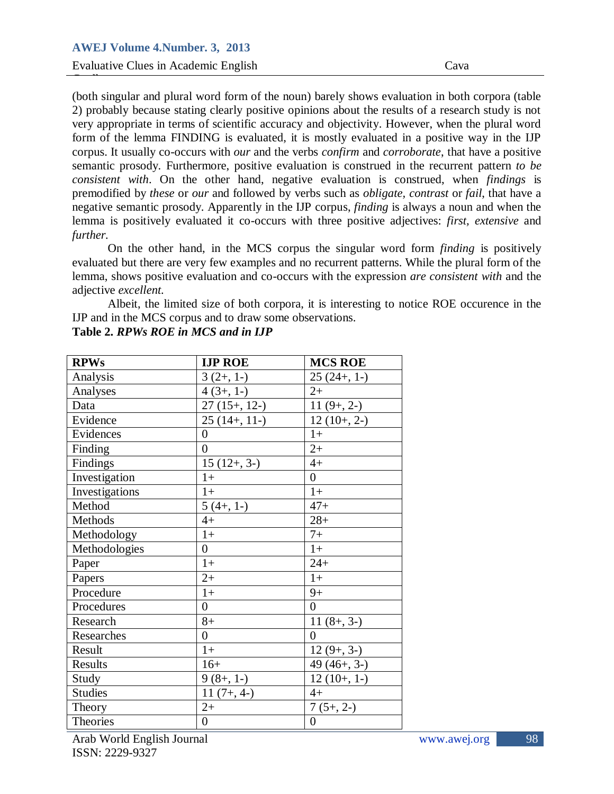Evaluative Clues in Academic English Cava

Guella

Form of the lemma FINDING is evaluated, it is mostly evaluated in a positive way in the IJP  $\frac{1}{2}$  corpus. It usually co-(both singular and plural word form of the noun) barely shows evaluation in both corpora (table 2) probably because stating clearly positive opinions about the results of a research study is not very appropriate in terms of scientific accuracy and objectivity. However, when the plural word corpus. It usually co-occurs with *our* and the verbs *confirm* and *corroborate*, that have a positive semantic prosody. Furthermore, positive evaluation is construed in the recurrent pattern *to be consistent with*. On the other hand, negative evaluation is construed, when *findings* is premodified by *these* or *our* and followed by verbs such as *obligate, contrast* or *fail*, that have a negative semantic prosody. Apparently in the IJP corpus, *finding* is always a noun and when the lemma is positively evaluated it co-occurs with three positive adjectives: *first, extensive* and *further.* 

On the other hand, in the MCS corpus the singular word form *finding* is positively evaluated but there are very few examples and no recurrent patterns. While the plural form of the lemma, shows positive evaluation and co-occurs with the expression *are consistent with* and the adjective *excellent.* 

Albeit, the limited size of both corpora, it is interesting to notice ROE occurence in the IJP and in the MCS corpus and to draw some observations.

| <b>RPWs</b>    | <b>IJP ROE</b>   | <b>MCS ROE</b>   |
|----------------|------------------|------------------|
| Analysis       | $3(2+, 1-)$      | $25(24+, 1-)$    |
| Analyses       | $4(3+, 1-)$      | $2+$             |
| Data           | $27(15+, 12-)$   | $11(9+, 2-)$     |
| Evidence       | $25(14+, 11)$    | $12(10+, 2-)$    |
| Evidences      | $\overline{0}$   | $1+$             |
| Finding        | $\overline{0}$   | $2+$             |
| Findings       | $15(12+, 3-)$    | $4+$             |
| Investigation  | $1+$             | $\overline{0}$   |
| Investigations | $1+$             | $1+$             |
| Method         | $5(4+, 1-)$      | $47+$            |
| Methods        | $4+$             | $28+$            |
| Methodology    | $1+$             | $7+$             |
| Methodologies  | $\overline{0}$   | $1+$             |
| Paper          | $1+$             | $24+$            |
| Papers         | $2+$             | $1+$             |
| Procedure      | $1+$             | $9+$             |
| Procedures     | $\overline{0}$   | $\overline{0}$   |
| Research       | $8+$             | $11(8+, 3-)$     |
| Researches     | $\overline{0}$   | $\overline{0}$   |
| Result         | $1+$             | $12(9+, 3-)$     |
| Results        | $16+$            | $49(46+, 3-)$    |
| Study          | $9(8+, 1-)$      | $12(10+, 1-)$    |
| <b>Studies</b> | $11(7+, 4-)$     | $4+$             |
| Theory         | $2+$             | $7(5+, 2-)$      |
| Theories       | $\boldsymbol{0}$ | $\boldsymbol{0}$ |

**Table 2.** *RPWs ROE in MCS and in IJP*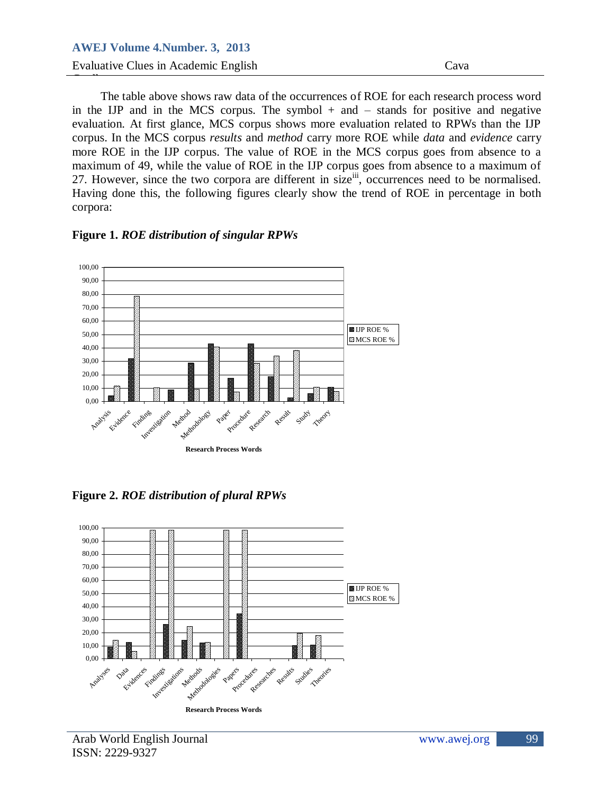Henry corpus. In the MCS corpus *results* and *method* carry more ROE while *data* and *evidence* carry more ROE in the IJP corpus. The value of ROE in the MCS corpus goes from absence to a The table above shows raw data of the occurrences of ROE for each research process word in the IJP and in the MCS corpus. The symbol  $+$  and  $-$  stands for positive and negative evaluation. At first glance, MCS corpus shows more evaluation related to RPWs than the IJP maximum of 49, while the value of ROE in the IJP corpus goes from absence to a maximum of 27. However, since the two corpora are different in size<sup>iii</sup>, occurrences need to be normalised. Having done this, the following figures clearly show the trend of ROE in percentage in both corpora:

#### **Figure 1.** *ROE distribution of singular RPWs*



**Figure 2.** *ROE distribution of plural RPWs*

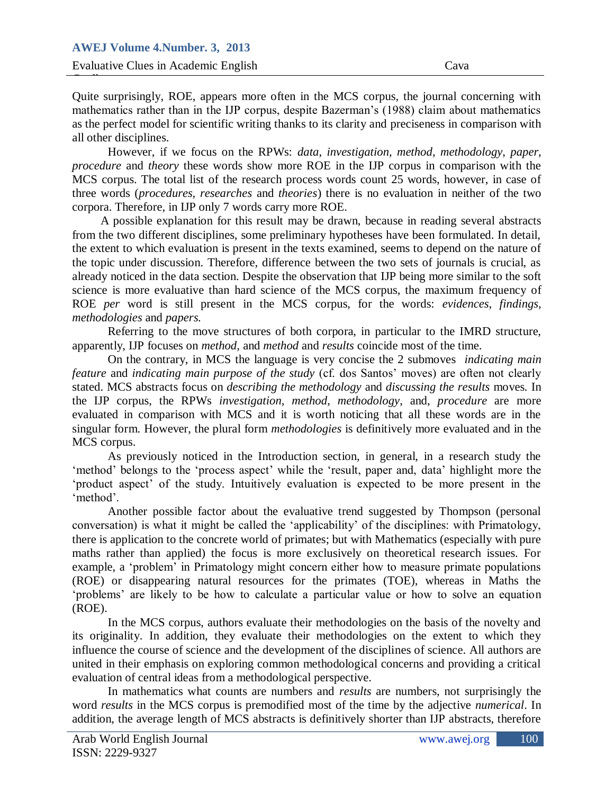as the perfect moder<br>all other disciplines. Quite surprisingly, ROE, appears more often in the MCS corpus, the journal concerning with mathematics rather than in the IJP corpus, despite Bazerman"s (1988) claim about mathematics as the perfect model for scientific writing thanks to its clarity and preciseness in comparison with

 $P = \begin{bmatrix} P & P \\ P & Q \end{bmatrix}$ However, if we focus on the RPWs: *data, investigation, method, methodology, paper, procedure* and *theory* these words show more ROE in the IJP corpus in comparison with the MCS corpus. The total list of the research process words count 25 words, however, in case of three words (*procedures, researches* and *theories*) there is no evaluation in neither of the two corpora. Therefore, in IJP only 7 words carry more ROE.

A possible explanation for this result may be drawn, because in reading several abstracts from the two different disciplines, some preliminary hypotheses have been formulated. In detail, the extent to which evaluation is present in the texts examined, seems to depend on the nature of the topic under discussion. Therefore, difference between the two sets of journals is crucial, as already noticed in the data section. Despite the observation that IJP being more similar to the soft science is more evaluative than hard science of the MCS corpus, the maximum frequency of ROE *per* word is still present in the MCS corpus, for the words: *evidences*, *findings, methodologies* and *papers.* 

Referring to the move structures of both corpora, in particular to the IMRD structure, apparently, IJP focuses on *method,* and *method* and *results* coincide most of the time.

On the contrary, in MCS the language is very concise the 2 submoves *indicating main feature* and *indicating main purpose of the study* (cf. dos Santos' moves) are often not clearly stated. MCS abstracts focus on *describing the methodology* and *discussing the results* moves*.* In the IJP corpus, the RPWs *investigation, method*, *methodology*, and, *procedure* are more evaluated in comparison with MCS and it is worth noticing that all these words are in the singular form. However, the plural form *methodologies* is definitively more evaluated and in the MCS corpus.

As previously noticed in the Introduction section, in general, in a research study the "method" belongs to the "process aspect" while the "result, paper and, data" highlight more the "product aspect" of the study. Intuitively evaluation is expected to be more present in the 'method'.

Another possible factor about the evaluative trend suggested by Thompson (personal conversation) is what it might be called the "applicability" of the disciplines: with Primatology, there is application to the concrete world of primates; but with Mathematics (especially with pure maths rather than applied) the focus is more exclusively on theoretical research issues. For example, a 'problem' in Primatology might concern either how to measure primate populations (ROE) or disappearing natural resources for the primates (TOE), whereas in Maths the "problems" are likely to be how to calculate a particular value or how to solve an equation (ROE).

In the MCS corpus, authors evaluate their methodologies on the basis of the novelty and its originality. In addition, they evaluate their methodologies on the extent to which they influence the course of science and the development of the disciplines of science. All authors are united in their emphasis on exploring common methodological concerns and providing a critical evaluation of central ideas from a methodological perspective.

In mathematics what counts are numbers and *results* are numbers, not surprisingly the word *results* in the MCS corpus is premodified most of the time by the adjective *numerical*. In addition, the average length of MCS abstracts is definitively shorter than IJP abstracts, therefore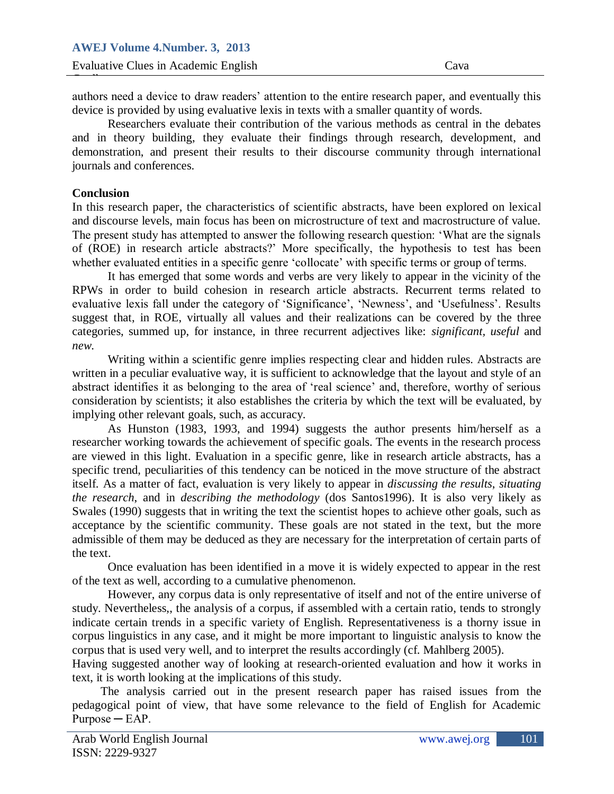authors need a device to draw readers" attention to the entire research paper, and eventually this device is provided by using evaluative lexis in texts with a smaller quantity of words.

Researchers evaluate their contribution of the various methods as central in the debates<br>and in theory building, they evaluate their findings through research, development, and demonstration, and present their results to their discourse community through international Researchers evaluate their contribution of the various methods as central in the debates journals and conferences.

#### **Conclusion**

Guella

In this research paper, the characteristics of scientific abstracts, have been explored on lexical and discourse levels, main focus has been on microstructure of text and macrostructure of value. The present study has attempted to answer the following research question: "What are the signals of (ROE) in research article abstracts?" More specifically, the hypothesis to test has been whether evaluated entities in a specific genre 'collocate' with specific terms or group of terms.

It has emerged that some words and verbs are very likely to appear in the vicinity of the RPWs in order to build cohesion in research article abstracts. Recurrent terms related to evaluative lexis fall under the category of 'Significance', 'Newness', and 'Usefulness'. Results suggest that, in ROE, virtually all values and their realizations can be covered by the three categories, summed up, for instance, in three recurrent adjectives like: *significant, useful* and *new*.

Writing within a scientific genre implies respecting clear and hidden rules. Abstracts are written in a peculiar evaluative way, it is sufficient to acknowledge that the layout and style of an abstract identifies it as belonging to the area of "real science" and, therefore, worthy of serious consideration by scientists; it also establishes the criteria by which the text will be evaluated, by implying other relevant goals, such, as accuracy.

As Hunston (1983, 1993, and 1994) suggests the author presents him/herself as a researcher working towards the achievement of specific goals. The events in the research process are viewed in this light. Evaluation in a specific genre, like in research article abstracts, has a specific trend, peculiarities of this tendency can be noticed in the move structure of the abstract itself. As a matter of fact, evaluation is very likely to appear in *discussing the results*, *situating the research*, and in *describing the methodology* (dos Santos1996). It is also very likely as Swales (1990) suggests that in writing the text the scientist hopes to achieve other goals, such as acceptance by the scientific community. These goals are not stated in the text, but the more admissible of them may be deduced as they are necessary for the interpretation of certain parts of the text.

Once evaluation has been identified in a move it is widely expected to appear in the rest of the text as well, according to a cumulative phenomenon.

However, any corpus data is only representative of itself and not of the entire universe of study. Nevertheless,, the analysis of a corpus, if assembled with a certain ratio, tends to strongly indicate certain trends in a specific variety of English. Representativeness is a thorny issue in corpus linguistics in any case, and it might be more important to linguistic analysis to know the corpus that is used very well, and to interpret the results accordingly (cf. Mahlberg 2005).

Having suggested another way of looking at research-oriented evaluation and how it works in text, it is worth looking at the implications of this study.

The analysis carried out in the present research paper has raised issues from the pedagogical point of view, that have some relevance to the field of English for Academic  $Purpose - EAP$ .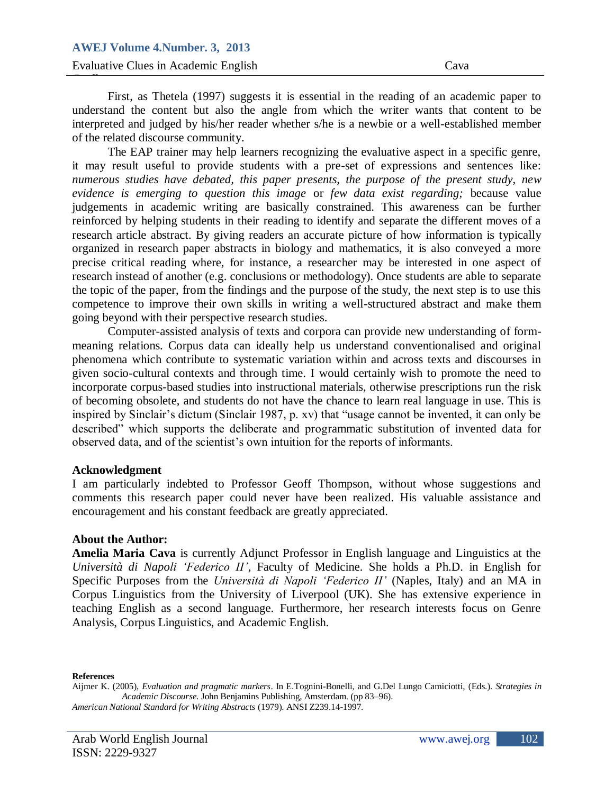Interpreted and judged by his/her R<br>of the related discourse community. First, as Thetela (1997) suggests it is essential in the reading of an academic paper to understand the content but also the angle from which the writer wants that content to be interpreted and judged by his/her reader whether s/he is a newbie or a well-established member

Proposed a Life EAP daily The EAP trainer may help learners recognizing the evaluative aspect in a specific genre, it may result useful to provide students with a pre-set of expressions and sentences like: *numerous studies have debated, this paper presents, the purpose of the present study, new evidence is emerging to question this image* or *few data exist regarding;* because value judgements in academic writing are basically constrained. This awareness can be further reinforced by helping students in their reading to identify and separate the different moves of a research article abstract. By giving readers an accurate picture of how information is typically organized in research paper abstracts in biology and mathematics, it is also conveyed a more precise critical reading where, for instance, a researcher may be interested in one aspect of research instead of another (e.g. conclusions or methodology). Once students are able to separate the topic of the paper, from the findings and the purpose of the study, the next step is to use this competence to improve their own skills in writing a well-structured abstract and make them going beyond with their perspective research studies.

Computer-assisted analysis of texts and corpora can provide new understanding of formmeaning relations. Corpus data can ideally help us understand conventionalised and original phenomena which contribute to systematic variation within and across texts and discourses in given socio-cultural contexts and through time. I would certainly wish to promote the need to incorporate corpus-based studies into instructional materials, otherwise prescriptions run the risk of becoming obsolete, and students do not have the chance to learn real language in use. This is inspired by Sinclair"s dictum (Sinclair 1987, p. xv) that "usage cannot be invented, it can only be described" which supports the deliberate and programmatic substitution of invented data for observed data, and of the scientist"s own intuition for the reports of informants.

#### **Acknowledgment**

I am particularly indebted to Professor Geoff Thompson, without whose suggestions and comments this research paper could never have been realized. His valuable assistance and encouragement and his constant feedback are greatly appreciated.

#### **About the Author:**

**Amelia Maria Cava** is currently Adjunct Professor in English language and Linguistics at the *Università di Napoli 'Federico II'*, Faculty of Medicine. She holds a Ph.D. in English for Specific Purposes from the *Università di Napoli 'Federico II'* (Naples, Italy) and an MA in Corpus Linguistics from the University of Liverpool (UK). She has extensive experience in teaching English as a second language. Furthermore, her research interests focus on Genre Analysis, Corpus Linguistics, and Academic English.

**References**

*American National Standard for Writing Abstracts* (1979). ANSI Z239.14-1997.

Aijmer K. (2005), *Evaluation and pragmatic markers*. In E.Tognini-Bonelli, and G.Del Lungo Camiciotti, (Eds.). *Strategies in Academic Discourse.* John Benjamins Publishing, Amsterdam. (pp 83–96).